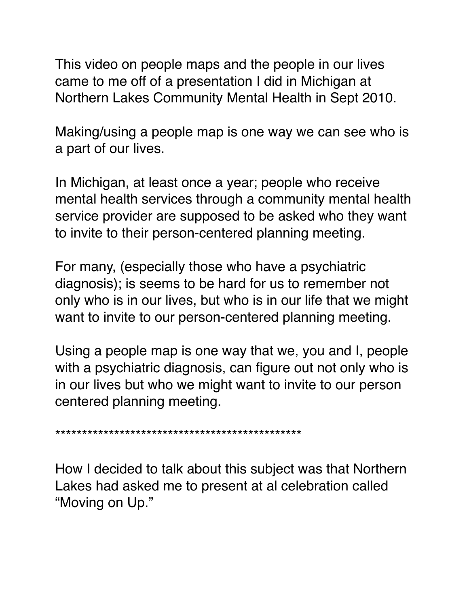This video on people maps and the people in our lives came to me off of a presentation I did in Michigan at Northern Lakes Community Mental Health in Sept 2010.

Making/using a people map is one way we can see who is a part of our lives.

In Michigan, at least once a year; people who receive mental health services through a community mental health service provider are supposed to be asked who they want to invite to their person-centered planning meeting.

For many, (especially those who have a psychiatric diagnosis); is seems to be hard for us to remember not only who is in our lives, but who is in our life that we might want to invite to our person-centered planning meeting.

Using a people map is one way that we, you and I, people with a psychiatric diagnosis, can figure out not only who is in our lives but who we might want to invite to our person centered planning meeting.

\*\*\*\*\*\*\*\*\*\*\*\*\*\*\*\*\*\*\*\*\*\*\*\*\*\*\*\*\*\*\*\*\*\*\*\*\*\*\*\*\*\*\*\*\*\*

How I decided to talk about this subject was that Northern Lakes had asked me to present at al celebration called "Moving on Up."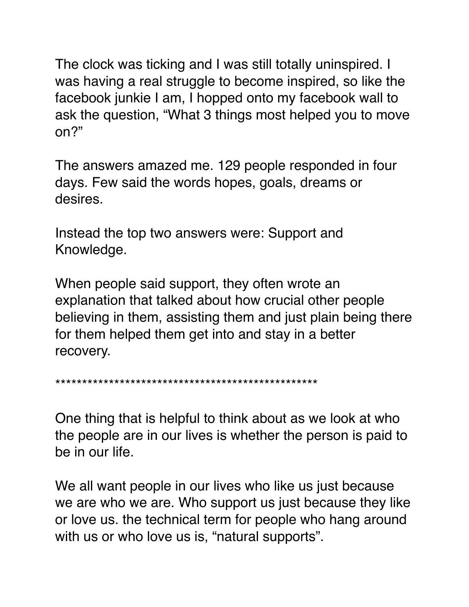The clock was ticking and I was still totally uninspired. I was having a real struggle to become inspired, so like the facebook junkie I am, I hopped onto my facebook wall to ask the question, "What 3 things most helped you to move on?"

The answers amazed me. 129 people responded in four days. Few said the words hopes, goals, dreams or desires.

Instead the top two answers were: Support and Knowledge.

When people said support, they often wrote an explanation that talked about how crucial other people believing in them, assisting them and just plain being there for them helped them get into and stay in a better recovery.

\*\*\*\*\*\*\*\*\*\*\*\*\*\*\*\*\*\*\*\*\*\*\*\*\*\*\*\*\*\*\*\*\*\*\*\*\*\*\*\*\*\*\*\*\*\*\*\*\*

One thing that is helpful to think about as we look at who the people are in our lives is whether the person is paid to be in our life.

We all want people in our lives who like us just because we are who we are. Who support us just because they like or love us. the technical term for people who hang around with us or who love us is, "natural supports".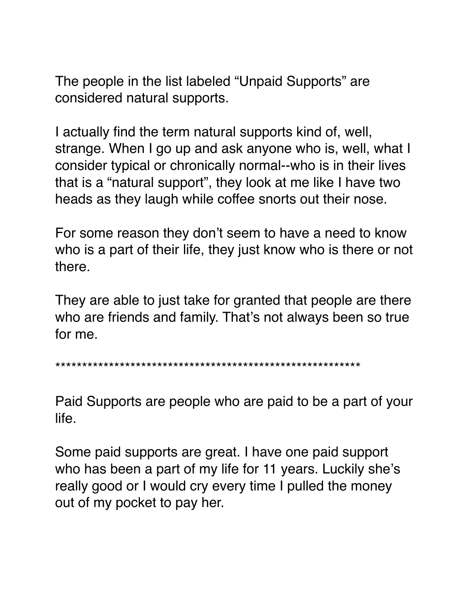The people in the list labeled "Unpaid Supports" are considered natural supports.

I actually find the term natural supports kind of, well, strange. When I go up and ask anyone who is, well, what I consider typical or chronically normal--who is in their lives that is a "natural support", they look at me like I have two heads as they laugh while coffee snorts out their nose.

For some reason they don't seem to have a need to know who is a part of their life, they just know who is there or not there.

They are able to just take for granted that people are there who are friends and family. That's not always been so true for me.

\*\*\*\*\*\*\*\*\*\*\*\*\*\*\*\*\*\*\*\*\*\*\*\*\*\*\*\*\*\*\*\*\*\*\*\*\*\*\*\*\*\*\*\*\*\*\*\*\*\*\*\*\*\*\*\*\*

Paid Supports are people who are paid to be a part of your life.

Some paid supports are great. I have one paid support who has been a part of my life for 11 years. Luckily she's really good or I would cry every time I pulled the money out of my pocket to pay her.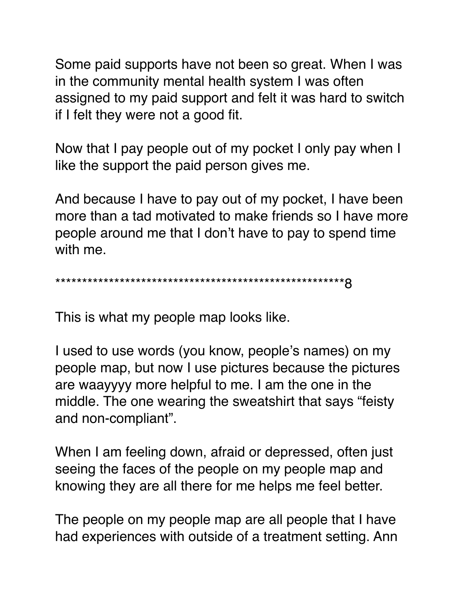Some paid supports have not been so great. When I was in the community mental health system I was often assigned to my paid support and felt it was hard to switch if I felt they were not a good fit.

Now that I pay people out of my pocket I only pay when I like the support the paid person gives me.

And because I have to pay out of my pocket, I have been more than a tad motivated to make friends so I have more people around me that I don't have to pay to spend time with me.

\*\*\*\*\*\*\*\*\*\*\*\*\*\*\*\*\*\*\*\*\*\*\*\*\*\*\*\*\*\*\*\*\*\*\*\*\*\*\*\*\*\*\*\*\*\*\*\*\*\*\*\*\*\*8

This is what my people map looks like.

I used to use words (you know, people's names) on my people map, but now I use pictures because the pictures are waayyyy more helpful to me. I am the one in the middle. The one wearing the sweatshirt that says "feisty and non-compliant".

When I am feeling down, afraid or depressed, often just seeing the faces of the people on my people map and knowing they are all there for me helps me feel better.

The people on my people map are all people that I have had experiences with outside of a treatment setting. Ann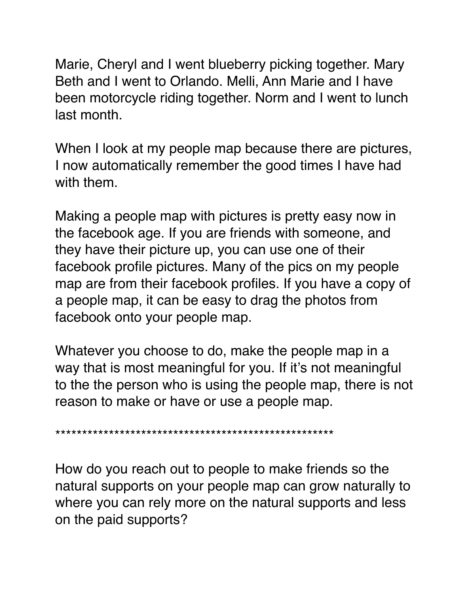Marie, Cheryl and I went blueberry picking together. Mary Beth and I went to Orlando. Melli, Ann Marie and I have been motorcycle riding together. Norm and I went to lunch last month.

When I look at my people map because there are pictures, I now automatically remember the good times I have had with them.

Making a people map with pictures is pretty easy now in the facebook age. If you are friends with someone, and they have their picture up, you can use one of their facebook profile pictures. Many of the pics on my people map are from their facebook profiles. If you have a copy of a people map, it can be easy to drag the photos from facebook onto your people map.

Whatever you choose to do, make the people map in a way that is most meaningful for you. If it's not meaningful to the the person who is using the people map, there is not reason to make or have or use a people map.

\*\*\*\*\*\*\*\*\*\*\*\*\*\*\*\*\*\*\*\*\*\*\*\*\*\*\*\*\*\*\*\*\*\*\*\*\*\*\*\*\*\*\*\*\*\*\*\*\*\*\*\*

How do you reach out to people to make friends so the natural supports on your people map can grow naturally to where you can rely more on the natural supports and less on the paid supports?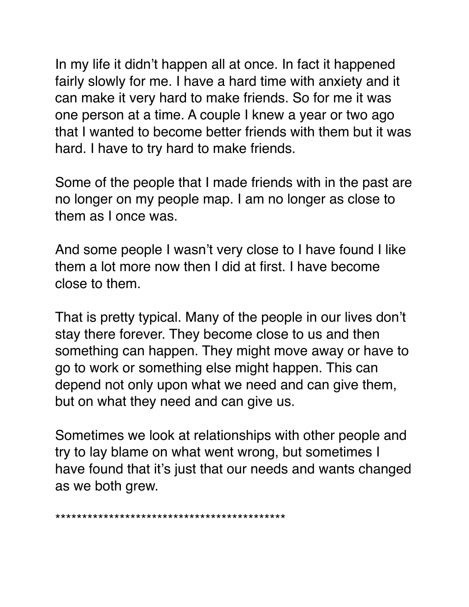In my life it didn't happen all at once. In fact it happened fairly slowly for me. I have a hard time with anxiety and it can make it very hard to make friends. So for me it was one person at a time. A couple I knew a year or two ago that I wanted to become better friends with them but it was hard. I have to try hard to make friends.

Some of the people that I made friends with in the past are no longer on my people map. I am no longer as close to them as I once was.

And some people I wasn't very close to I have found I like them a lot more now then I did at first. I have become close to them.

That is pretty typical. Many of the people in our lives don't stay there forever. They become close to us and then something can happen. They might move away or have to go to work or something else might happen. This can depend not only upon what we need and can give them, but on what they need and can give us.

Sometimes we look at relationships with other people and try to lay blame on what went wrong, but sometimes I have found that it's just that our needs and wants changed as we both grew.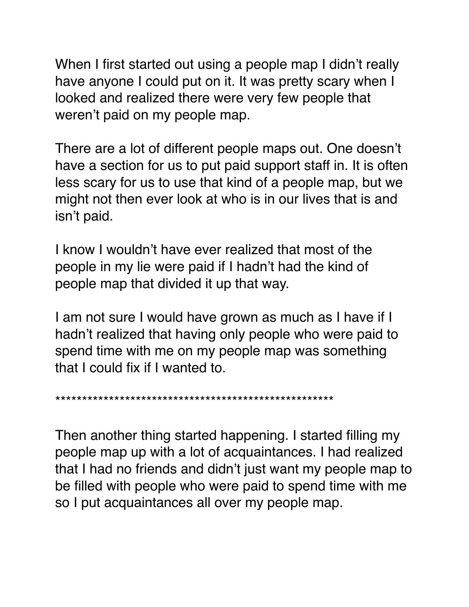When I first started out using a people map I didn't really have anyone I could put on it. It was pretty scary when I looked and realized there were very few people that weren't paid on my people map.

There are a lot of different people maps out. One doesn't have a section for us to put paid support staff in. It is often less scary for us to use that kind of a people map, but we might not then ever look at who is in our lives that is and isn't paid.

I know I wouldn't have ever realized that most of the people in my lie were paid if I hadn't had the kind of people map that divided it up that way.

I am not sure I would have grown as much as I have if I hadn't realized that having only people who were paid to spend time with me on my people map was something that I could fix if I wanted to.

\*\*\*\*\*\*\*\*\*\*\*\*\*\*\*\*\*\*\*\*\*\*\*\*\*\*\*\*\*\*\*\*\*\*\*\*\*\*\*\*\*\*\*\*\*\*\*\*\*\*\*\*

Then another thing started happening. I started filling my people map up with a lot of acquaintances. I had realized that I had no friends and didn't just want my people map to be filled with people who were paid to spend time with me so I put acquaintances all over my people map.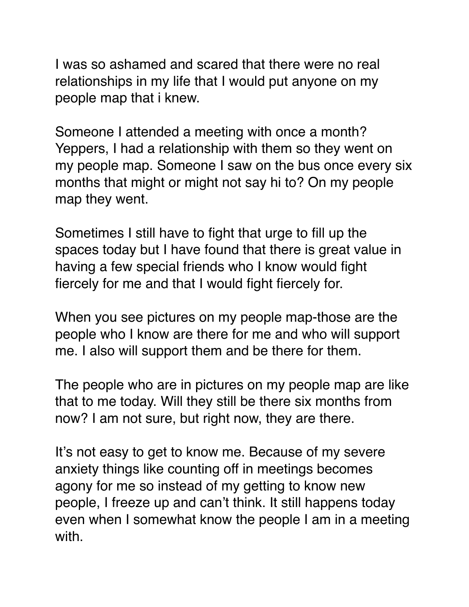I was so ashamed and scared that there were no real relationships in my life that I would put anyone on my people map that i knew.

Someone I attended a meeting with once a month? Yeppers, I had a relationship with them so they went on my people map. Someone I saw on the bus once every six months that might or might not say hi to? On my people map they went.

Sometimes I still have to fight that urge to fill up the spaces today but I have found that there is great value in having a few special friends who I know would fight fiercely for me and that I would fight fiercely for.

When you see pictures on my people map-those are the people who I know are there for me and who will support me. I also will support them and be there for them.

The people who are in pictures on my people map are like that to me today. Will they still be there six months from now? I am not sure, but right now, they are there.

It's not easy to get to know me. Because of my severe anxiety things like counting off in meetings becomes agony for me so instead of my getting to know new people, I freeze up and can't think. It still happens today even when I somewhat know the people I am in a meeting with.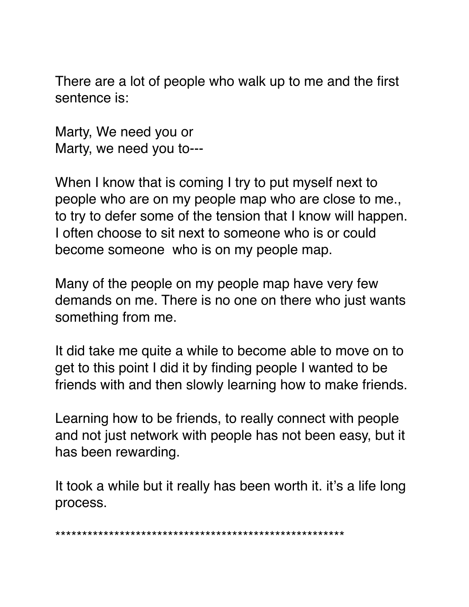There are a lot of people who walk up to me and the first sentence is:

Marty, We need you or Marty, we need you to---

When I know that is coming I try to put myself next to people who are on my people map who are close to me., to try to defer some of the tension that I know will happen. I often choose to sit next to someone who is or could become someone who is on my people map.

Many of the people on my people map have very few demands on me. There is no one on there who just wants something from me.

It did take me quite a while to become able to move on to get to this point I did it by finding people I wanted to be friends with and then slowly learning how to make friends.

Learning how to be friends, to really connect with people and not just network with people has not been easy, but it has been rewarding.

It took a while but it really has been worth it. it's a life long process.

\*\*\*\*\*\*\*\*\*\*\*\*\*\*\*\*\*\*\*\*\*\*\*\*\*\*\*\*\*\*\*\*\*\*\*\*\*\*\*\*\*\*\*\*\*\*\*\*\*\*\*\*\*\*